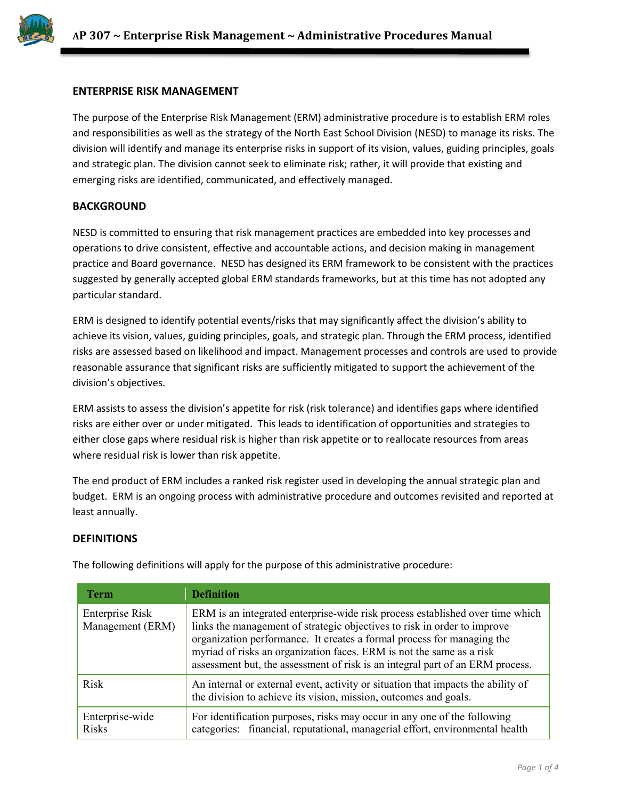

## **ENTERPRISE RISK MANAGEMENT**

The purpose of the Enterprise Risk Management (ERM) administrative procedure is to establish ERM roles and responsibilities as well as the strategy of the North East School Division (NESD) to manage its risks. The division will identify and manage its enterprise risks in support of its vision, values, guiding principles, goals and strategic plan. The division cannot seek to eliminate risk; rather, it will provide that existing and emerging risks are identified, communicated, and effectively managed.

## **BACKGROUND**

NESD is committed to ensuring that risk management practices are embedded into key processes and operations to drive consistent, effective and accountable actions, and decision making in management practice and Board governance. NESD has designed its ERM framework to be consistent with the practices suggested by generally accepted global ERM standards frameworks, but at this time has not adopted any particular standard.

ERM is designed to identify potential events/risks that may significantly affect the division's ability to achieve its vision, values, guiding principles, goals, and strategic plan. Through the ERM process, identified risks are assessed based on likelihood and impact. Management processes and controls are used to provide reasonable assurance that significant risks are sufficiently mitigated to support the achievement of the division's objectives.

ERM assists to assess the division's appetite for risk (risk tolerance) and identifies gaps where identified risks are either over or under mitigated. This leads to identification of opportunities and strategies to either close gaps where residual risk is higher than risk appetite or to reallocate resources from areas where residual risk is lower than risk appetite.

The end product of ERM includes a ranked risk register used in developing the annual strategic plan and budget. ERM is an ongoing process with administrative procedure and outcomes revisited and reported at least annually.

#### **DEFINITIONS**

| <b>Term</b>                         | <b>Definition</b>                                                                                                                                                                                                                                                                                                                                                                            |
|-------------------------------------|----------------------------------------------------------------------------------------------------------------------------------------------------------------------------------------------------------------------------------------------------------------------------------------------------------------------------------------------------------------------------------------------|
| Enterprise Risk<br>Management (ERM) | ERM is an integrated enterprise-wide risk process established over time which<br>links the management of strategic objectives to risk in order to improve<br>organization performance. It creates a formal process for managing the<br>myriad of risks an organization faces. ERM is not the same as a risk<br>assessment but, the assessment of risk is an integral part of an ERM process. |
| <b>Risk</b>                         | An internal or external event, activity or situation that impacts the ability of<br>the division to achieve its vision, mission, outcomes and goals.                                                                                                                                                                                                                                         |
| Enterprise-wide<br><b>Risks</b>     | For identification purposes, risks may occur in any one of the following<br>categories: financial, reputational, managerial effort, environmental health                                                                                                                                                                                                                                     |

The following definitions will apply for the purpose of this administrative procedure: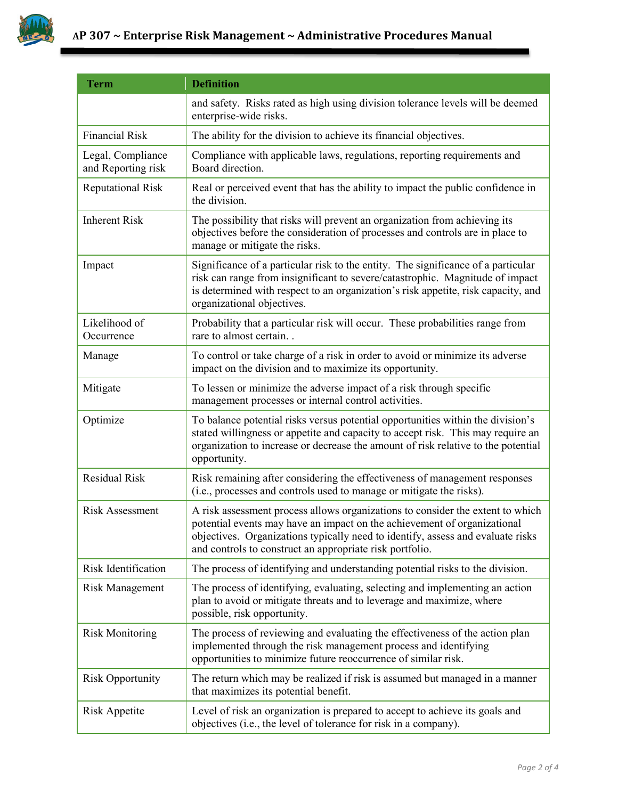

| <b>Term</b>                             | <b>Definition</b>                                                                                                                                                                                                                                                                                         |
|-----------------------------------------|-----------------------------------------------------------------------------------------------------------------------------------------------------------------------------------------------------------------------------------------------------------------------------------------------------------|
|                                         | and safety. Risks rated as high using division tolerance levels will be deemed<br>enterprise-wide risks.                                                                                                                                                                                                  |
| <b>Financial Risk</b>                   | The ability for the division to achieve its financial objectives.                                                                                                                                                                                                                                         |
| Legal, Compliance<br>and Reporting risk | Compliance with applicable laws, regulations, reporting requirements and<br>Board direction.                                                                                                                                                                                                              |
| <b>Reputational Risk</b>                | Real or perceived event that has the ability to impact the public confidence in<br>the division.                                                                                                                                                                                                          |
| <b>Inherent Risk</b>                    | The possibility that risks will prevent an organization from achieving its<br>objectives before the consideration of processes and controls are in place to<br>manage or mitigate the risks.                                                                                                              |
| Impact                                  | Significance of a particular risk to the entity. The significance of a particular<br>risk can range from insignificant to severe/catastrophic. Magnitude of impact<br>is determined with respect to an organization's risk appetite, risk capacity, and<br>organizational objectives.                     |
| Likelihood of<br>Occurrence             | Probability that a particular risk will occur. These probabilities range from<br>rare to almost certain                                                                                                                                                                                                   |
| Manage                                  | To control or take charge of a risk in order to avoid or minimize its adverse<br>impact on the division and to maximize its opportunity.                                                                                                                                                                  |
| Mitigate                                | To lessen or minimize the adverse impact of a risk through specific<br>management processes or internal control activities.                                                                                                                                                                               |
| Optimize                                | To balance potential risks versus potential opportunities within the division's<br>stated willingness or appetite and capacity to accept risk. This may require an<br>organization to increase or decrease the amount of risk relative to the potential<br>opportunity.                                   |
| <b>Residual Risk</b>                    | Risk remaining after considering the effectiveness of management responses<br>(i.e., processes and controls used to manage or mitigate the risks).                                                                                                                                                        |
| <b>Risk Assessment</b>                  | A risk assessment process allows organizations to consider the extent to which<br>potential events may have an impact on the achievement of organizational<br>objectives. Organizations typically need to identify, assess and evaluate risks<br>and controls to construct an appropriate risk portfolio. |
| <b>Risk Identification</b>              | The process of identifying and understanding potential risks to the division.                                                                                                                                                                                                                             |
| <b>Risk Management</b>                  | The process of identifying, evaluating, selecting and implementing an action<br>plan to avoid or mitigate threats and to leverage and maximize, where<br>possible, risk opportunity.                                                                                                                      |
| <b>Risk Monitoring</b>                  | The process of reviewing and evaluating the effectiveness of the action plan<br>implemented through the risk management process and identifying<br>opportunities to minimize future reoccurrence of similar risk.                                                                                         |
| <b>Risk Opportunity</b>                 | The return which may be realized if risk is assumed but managed in a manner<br>that maximizes its potential benefit.                                                                                                                                                                                      |
| <b>Risk Appetite</b>                    | Level of risk an organization is prepared to accept to achieve its goals and<br>objectives (i.e., the level of tolerance for risk in a company).                                                                                                                                                          |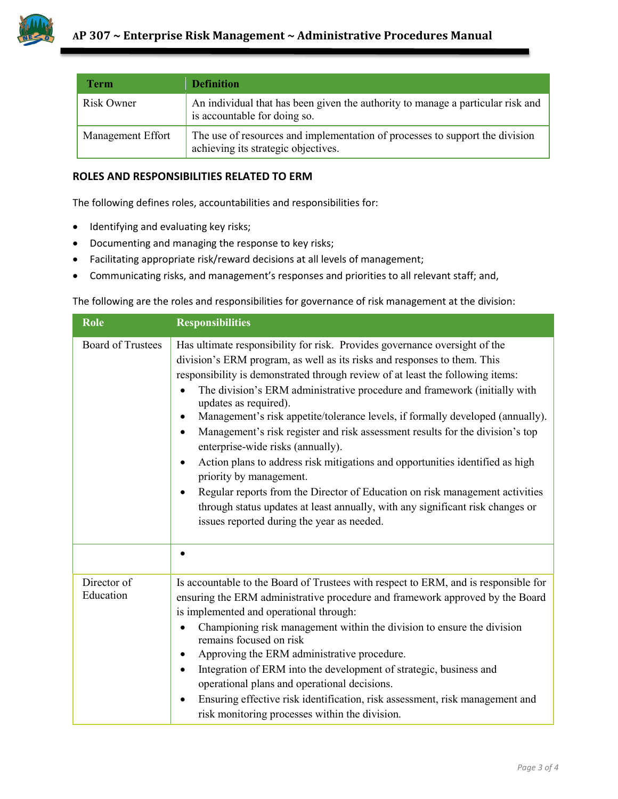

| Term              | <b>Definition</b>                                                                                                   |
|-------------------|---------------------------------------------------------------------------------------------------------------------|
| Risk Owner        | An individual that has been given the authority to manage a particular risk and<br>is accountable for doing so.     |
| Management Effort | The use of resources and implementation of processes to support the division<br>achieving its strategic objectives. |

# **ROLES AND RESPONSIBILITIES RELATED TO ERM**

The following defines roles, accountabilities and responsibilities for:

- Identifying and evaluating key risks;
- Documenting and managing the response to key risks;
- Facilitating appropriate risk/reward decisions at all levels of management;
- Communicating risks, and management's responses and priorities to all relevant staff; and,

The following are the roles and responsibilities for governance of risk management at the division:

| Role                     | <b>Responsibilities</b>                                                                                                                                                                                                                                                                                                                                                                                                                                                                                                                                                                                                                                                                                                                                                                                                                                                                              |
|--------------------------|------------------------------------------------------------------------------------------------------------------------------------------------------------------------------------------------------------------------------------------------------------------------------------------------------------------------------------------------------------------------------------------------------------------------------------------------------------------------------------------------------------------------------------------------------------------------------------------------------------------------------------------------------------------------------------------------------------------------------------------------------------------------------------------------------------------------------------------------------------------------------------------------------|
| <b>Board of Trustees</b> | Has ultimate responsibility for risk. Provides governance oversight of the<br>division's ERM program, as well as its risks and responses to them. This<br>responsibility is demonstrated through review of at least the following items:<br>The division's ERM administrative procedure and framework (initially with<br>updates as required).<br>Management's risk appetite/tolerance levels, if formally developed (annually).<br>٠<br>Management's risk register and risk assessment results for the division's top<br>$\bullet$<br>enterprise-wide risks (annually).<br>Action plans to address risk mitigations and opportunities identified as high<br>priority by management.<br>Regular reports from the Director of Education on risk management activities<br>through status updates at least annually, with any significant risk changes or<br>issues reported during the year as needed. |
|                          |                                                                                                                                                                                                                                                                                                                                                                                                                                                                                                                                                                                                                                                                                                                                                                                                                                                                                                      |
| Director of<br>Education | Is accountable to the Board of Trustees with respect to ERM, and is responsible for<br>ensuring the ERM administrative procedure and framework approved by the Board<br>is implemented and operational through:<br>Championing risk management within the division to ensure the division<br>remains focused on risk<br>Approving the ERM administrative procedure.<br>Integration of ERM into the development of strategic, business and<br>operational plans and operational decisions.<br>Ensuring effective risk identification, risk assessment, risk management and<br>$\bullet$<br>risk monitoring processes within the division.                                                                                                                                                                                                                                                             |